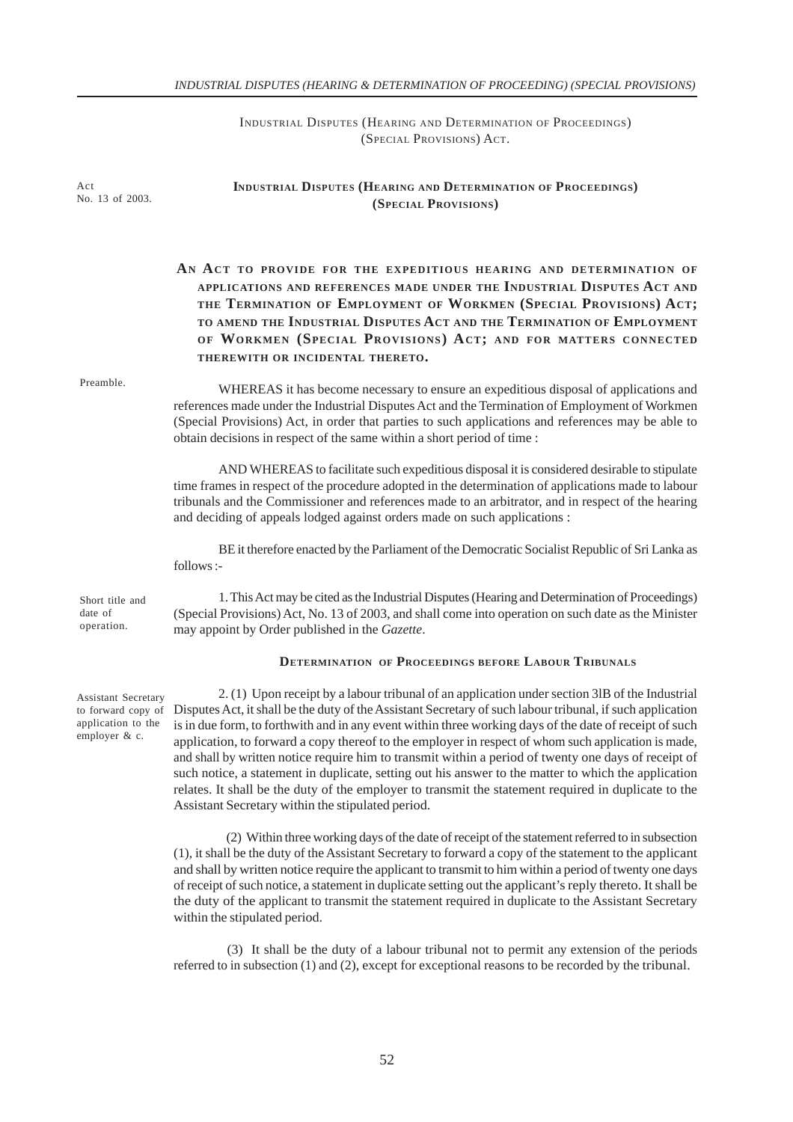# *INDUSTRIAL DISPUTES (HEARING & DETERMINATION OF PROCEEDING) (SPECIAL PROVISIONS)*

INDUSTRIAL DISPUTES (HEARING AND DETERMINATION OF PROCEEDINGS) (SPECIAL PROVISIONS) ACT.

| Act<br>No. 13 of 2003.                                                           | <b>INDUSTRIAL DISPUTES (HEARING AND DETERMINATION OF PROCEEDINGS)</b><br>(SPECIAL PROVISIONS)                                                                                                                                                                                                                                                                                                                                                                                                                                                                                                                                                                                                                                                         |
|----------------------------------------------------------------------------------|-------------------------------------------------------------------------------------------------------------------------------------------------------------------------------------------------------------------------------------------------------------------------------------------------------------------------------------------------------------------------------------------------------------------------------------------------------------------------------------------------------------------------------------------------------------------------------------------------------------------------------------------------------------------------------------------------------------------------------------------------------|
|                                                                                  | AN ACT TO PROVIDE FOR THE EXPEDITIOUS HEARING AND DETERMINATION OF<br>APPLICATIONS AND REFERENCES MADE UNDER THE INDUSTRIAL DISPUTES ACT AND<br>THE TERMINATION OF EMPLOYMENT OF WORKMEN (SPECIAL PROVISIONS) ACT;<br>TO AMEND THE INDUSTRIAL DISPUTES ACT AND THE TERMINATION OF EMPLOYMENT<br>OF WORKMEN (SPECIAL PROVISIONS) ACT; AND FOR MATTERS CONNECTED<br>THEREWITH OR INCIDENTAL THERETO.                                                                                                                                                                                                                                                                                                                                                    |
| Preamble.                                                                        | WHEREAS it has become necessary to ensure an expeditious disposal of applications and<br>references made under the Industrial Disputes Act and the Termination of Employment of Workmen<br>(Special Provisions) Act, in order that parties to such applications and references may be able to<br>obtain decisions in respect of the same within a short period of time :                                                                                                                                                                                                                                                                                                                                                                              |
|                                                                                  | AND WHEREAS to facilitate such expeditious disposal it is considered desirable to stipulate<br>time frames in respect of the procedure adopted in the determination of applications made to labour<br>tribunals and the Commissioner and references made to an arbitrator, and in respect of the hearing<br>and deciding of appeals lodged against orders made on such applications :                                                                                                                                                                                                                                                                                                                                                                 |
|                                                                                  | BE it therefore enacted by the Parliament of the Democratic Socialist Republic of Sri Lanka as<br>follows :-                                                                                                                                                                                                                                                                                                                                                                                                                                                                                                                                                                                                                                          |
| Short title and<br>date of<br>operation.                                         | 1. This Act may be cited as the Industrial Disputes (Hearing and Determination of Proceedings)<br>(Special Provisions) Act, No. 13 of 2003, and shall come into operation on such date as the Minister<br>may appoint by Order published in the Gazette.                                                                                                                                                                                                                                                                                                                                                                                                                                                                                              |
|                                                                                  | <b>DETERMINATION OF PROCEEDINGS BEFORE LABOUR TRIBUNALS</b>                                                                                                                                                                                                                                                                                                                                                                                                                                                                                                                                                                                                                                                                                           |
| Assistant Secretary<br>to forward copy of<br>application to the<br>employer & c. | 2. (1) Upon receipt by a labour tribunal of an application under section 3lB of the Industrial<br>Disputes Act, it shall be the duty of the Assistant Secretary of such labour tribunal, if such application<br>is in due form, to forthwith and in any event within three working days of the date of receipt of such<br>application, to forward a copy thereof to the employer in respect of whom such application is made,<br>and shall by written notice require him to transmit within a period of twenty one days of receipt of<br>such notice, a statement in duplicate, setting out his answer to the matter to which the application<br>relates. It shall be the duty of the employer to transmit the statement required in duplicate to the |

 (2) Within three working days of the date of receipt of the statement referred to in subsection (1), it shall be the duty of the Assistant Secretary to forward a copy of the statement to the applicant and shall by written notice require the applicant to transmit to him within a period of twenty one days of receipt of such notice, a statement in duplicate setting out the applicant's reply thereto. It shall be the duty of the applicant to transmit the statement required in duplicate to the Assistant Secretary within the stipulated period.

Assistant Secretary within the stipulated period.

 (3) It shall be the duty of a labour tribunal not to permit any extension of the periods referred to in subsection (1) and (2), except for exceptional reasons to be recorded by the tribunal.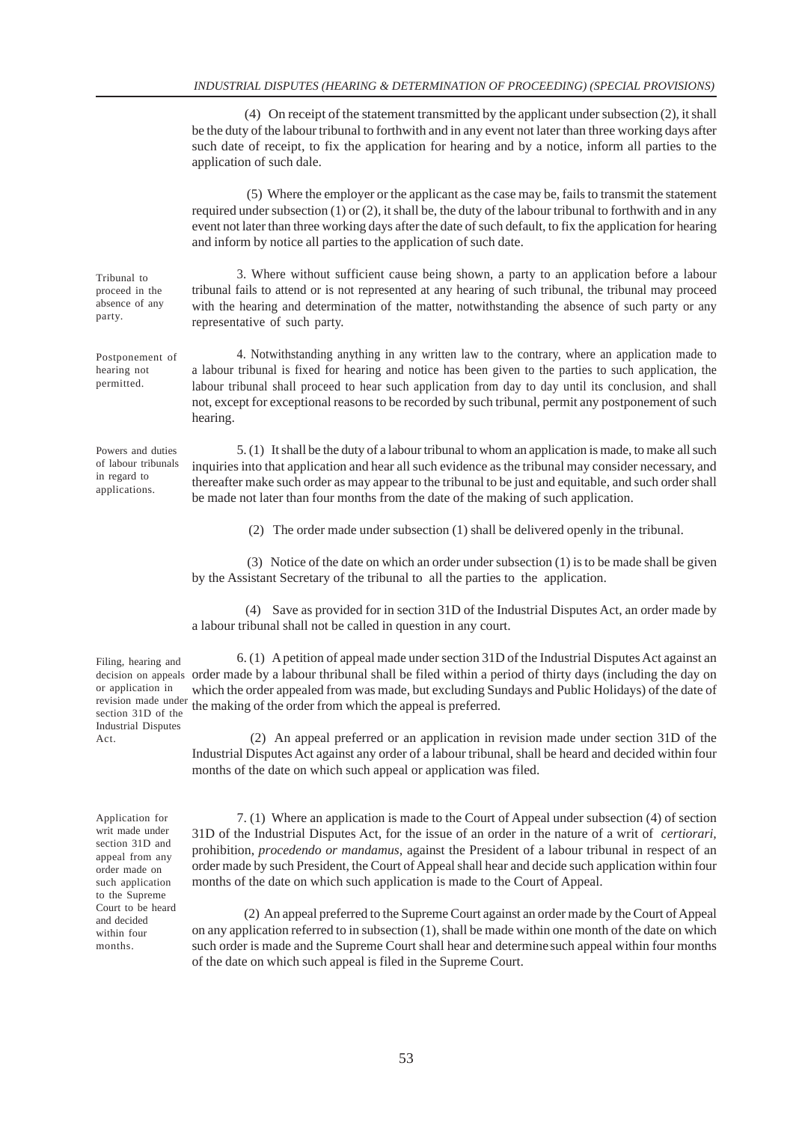(4) On receipt of the statement transmitted by the applicant under subsection (2), it shall be the duty of the labour tribunal to forthwith and in any event not later than three working days after such date of receipt, to fix the application for hearing and by a notice, inform all parties to the application of such dale.

 (5) Where the employer or the applicant as the case may be, fails to transmit the statement required under subsection  $(1)$  or  $(2)$ , it shall be, the duty of the labour tribunal to forthwith and in any event not later than three working days after the date of such default, to fix the application for hearing and inform by notice all parties to the application of such date.

3. Where without sufficient cause being shown, a party to an application before a labour tribunal fails to attend or is not represented at any hearing of such tribunal, the tribunal may proceed with the hearing and determination of the matter, notwithstanding the absence of such party or any representative of such party.

4. Notwithstanding anything in any written law to the contrary, where an application made to a labour tribunal is fixed for hearing and notice has been given to the parties to such application, the labour tribunal shall proceed to hear such application from day to day until its conclusion, and shall not, except for exceptional reasons to be recorded by such tribunal, permit any postponement of such hearing.

5. (1) It shall be the duty of a labour tribunal to whom an application is made, to make all such inquiries into that application and hear all such evidence as the tribunal may consider necessary, and thereafter make such order as may appear to the tribunal to be just and equitable, and such order shall be made not later than four months from the date of the making of such application.

(2) The order made under subsection (1) shall be delivered openly in the tribunal.

 (3) Notice of the date on which an order under subsection (1) is to be made shall be given by the Assistant Secretary of the tribunal to all the parties to the application.

 (4) Save as provided for in section 31D of the Industrial Disputes Act, an order made by a labour tribunal shall not be called in question in any court.

6. (1) A petition of appeal made under section 31D of the Industrial Disputes Act against an decision on appeals order made by a labour thribunal shall be filed within a period of thirty days (including the day on which the order appealed from was made, but excluding Sundays and Public Holidays) of the date of the making of the order from which the appeal is preferred.

> (2) An appeal preferred or an application in revision made under section 31D of the Industrial Disputes Act against any order of a labour tribunal, shall be heard and decided within four months of the date on which such appeal or application was filed.

> 7. (1) Where an application is made to the Court of Appeal under subsection (4) of section 31D of the Industrial Disputes Act, for the issue of an order in the nature of a writ of *certiorari,* prohibition, *procedendo or mandamus,* against the President of a labour tribunal in respect of an order made by such President, the Court of Appeal shall hear and decide such application within four months of the date on which such application is made to the Court of Appeal.

> (2) An appeal preferred to the Supreme Court against an order made by the Court of Appeal on any application referred to in subsection (1), shall be made within one month of the date on which such order is made and the Supreme Court shall hear and determine such appeal within four months of the date on which such appeal is filed in the Supreme Court.

#### Tribunal to proceed in the absence of any party.

Postponement of hearing not permitted.

Powers and duties of labour tribunals in regard to applications.

Filing, hearing and or application in revision made under section 31D of the Industrial Disputes Act.

Application for writ made under section 31D and appeal from any order made on such application to the Supreme Court to be heard and decided within four months.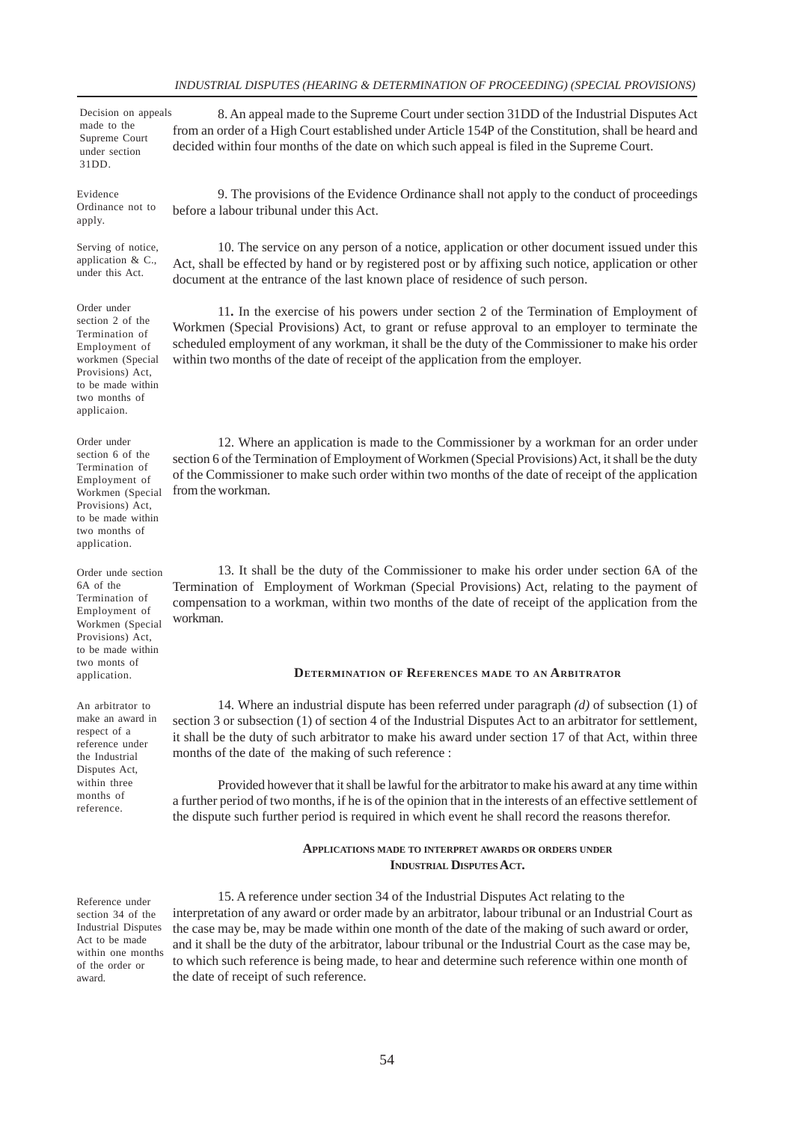Decision on appeals made to the Supreme Court under section 31DD.

Evidence Ordinance not to apply.

Serving of notice, application & C., under this Act.

Order under section 2 of the Termination of Employment of workmen (Special Provisions) Act, to be made within two months of applicaion.

Order under section 6 of the Termination of Employment of Workmen (Special Provisions) Act, to be made within two months of application.

Order unde section 6A of the Termination of Employment of Workmen (Special Provisions) Act, to be made within two monts of application.

An arbitrator to make an award in respect of a reference under the Industrial Disputes Act, within three months of reference.

Reference under section 34 of the Industrial Disputes Act to be made within one months of the order or award.

8. An appeal made to the Supreme Court under section 31DD of the Industrial Disputes Act from an order of a High Court established under Article 154P of the Constitution, shall be heard and decided within four months of the date on which such appeal is filed in the Supreme Court.

9. The provisions of the Evidence Ordinance shall not apply to the conduct of proceedings before a labour tribunal under this Act.

10. The service on any person of a notice, application or other document issued under this Act, shall be effected by hand or by registered post or by affixing such notice, application or other document at the entrance of the last known place of residence of such person.

11**.** In the exercise of his powers under section 2 of the Termination of Employment of Workmen (Special Provisions) Act, to grant or refuse approval to an employer to terminate the scheduled employment of any workman, it shall be the duty of the Commissioner to make his order within two months of the date of receipt of the application from the employer.

12. Where an application is made to the Commissioner by a workman for an order under section 6 of the Termination of Employment of Workmen (Special Provisions) Act, it shall be the duty of the Commissioner to make such order within two months of the date of receipt of the application from the workman.

13. It shall be the duty of the Commissioner to make his order under section 6A of the Termination of Employment of Workman (Special Provisions) Act, relating to the payment of compensation to a workman, within two months of the date of receipt of the application from the workman.

# **DETERMINATION OF REFERENCES MADE TO AN ARBITRATOR**

14. Where an industrial dispute has been referred under paragraph *(d)* of subsection (1) of section 3 or subsection (1) of section 4 of the Industrial Disputes Act to an arbitrator for settlement, it shall be the duty of such arbitrator to make his award under section 17 of that Act, within three months of the date of the making of such reference :

Provided however that it shall be lawful for the arbitrator to make his award at any time within a further period of two months, if he is of the opinion that in the interests of an effective settlement of the dispute such further period is required in which event he shall record the reasons therefor.

## **APPLICATIONS MADE TO INTERPRET AWARDS OR ORDERS UNDER INDUSTRIAL DISPUTES ACT.**

15. A reference under section 34 of the Industrial Disputes Act relating to the interpretation of any award or order made by an arbitrator, labour tribunal or an Industrial Court as the case may be, may be made within one month of the date of the making of such award or order, and it shall be the duty of the arbitrator, labour tribunal or the Industrial Court as the case may be, to which such reference is being made, to hear and determine such reference within one month of the date of receipt of such reference.